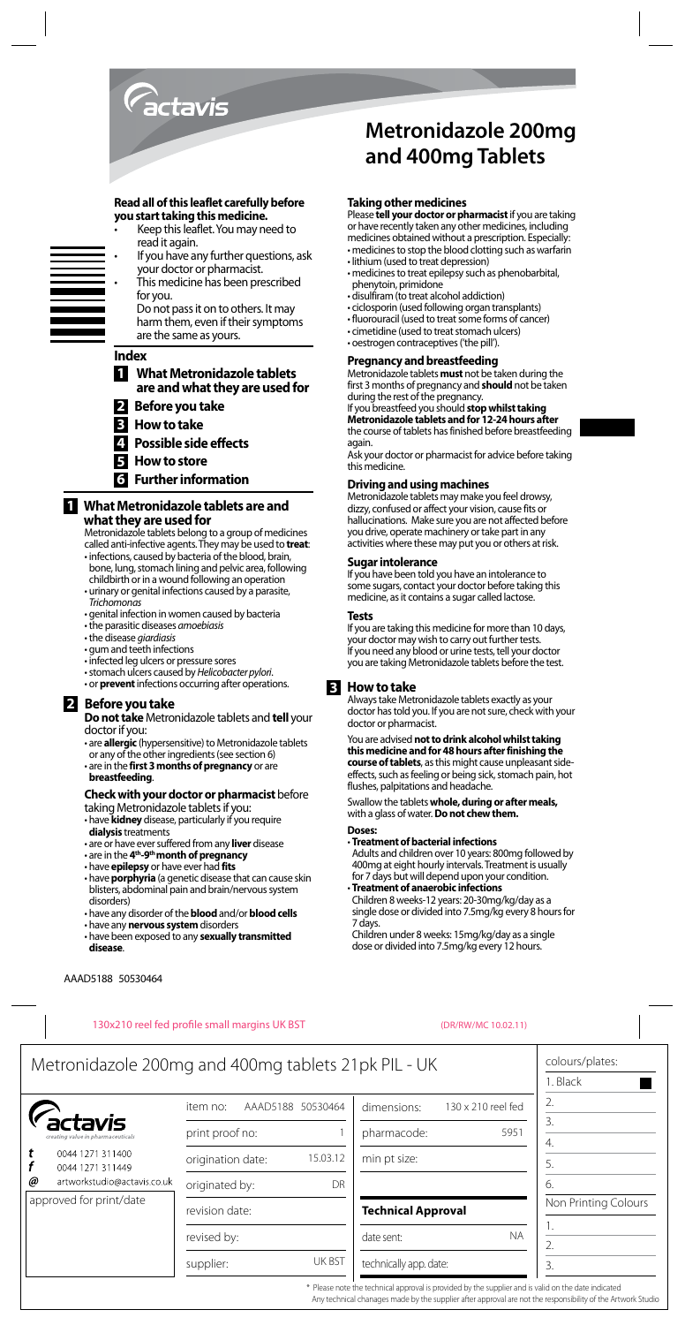

#### **Read all of this leaflet carefully before you start taking this medicine.**

- Keep this leaflet. You may need to read it again.
- If you have any further questions, ask your doctor or pharmacist.
- This medicine has been prescribed for you.
	- Do not pass it on to others. It may harm them, even if their symptoms are the same as yours.

#### **Index**

- **1 What Metronidazole tablets are and what they are used for**
- **2 Before you take**
- **3 How to take**
- **4 Possible side effects**
- **5 How to store**
- **6 Further information**

## **1 What Metronidazole tablets are and what they are used for**

Metronidazole tablets belong to a group of medicines called anti-infective agents. They may be used to **treat**:

- infections, caused by bacteria of the blood, brain, bone, lung, stomach lining and pelvic area, following
- childbirth or in a wound following an operation • urinary or genital infections caused by a parasite, *Trichomonas*
- genital infection in women caused by bacteria
- the parasitic diseases *amoebiasis*
- the disease *giardiasis*
- gum and teeth infections
- infected leg ulcers or pressure sores
- stomach ulcers caused by *Helicobacter pylori*.
- or **prevent** infections occurring after operations.

# **2 Before you take**

**Do not take** Metronidazole tablets and **tell** your doctor if you:

• are **allergic** (hypersensitive) to Metronidazole tablets or any of the other ingredients (see section 6) • are in the **first 3 months of pregnancy** or are **breastfeeding**.

# **Check with your doctor or pharmacist** before

taking Metronidazole tablets if you:

- have **kidney** disease, particularly if you require **dialysis** treatments
- are or have ever suffered from any **liver** disease
- are in the **4th-9th month of pregnancy**
- have **epilepsy** or have ever had **fits**
- have **porphyria** (a genetic disease that can cause skin blisters, abdominal pain and brain/nervous system disorders)
- have any disorder of the **blood** and/or **blood cells**
- have any **nervous system** disorders
- have been exposed to any **sexually transmitted disease**.

# **Metronidazole 200mg and 400mg Tablets**

#### **Taking other medicines**

Please **tell your doctor or pharmacist** if you are taking or have recently taken any other medicines, including medicines obtained without a prescription. Especially: • medicines to stop the blood clotting such as warfarin

- lithium (used to treat depression)
- medicines to treat epilepsy such as phenobarbital, phenytoin, primidone
- disulfiram (to treat alcohol addiction)
- ciclosporin (used following organ transplants)
- fluorouracil (used to treat some forms of cancer)
- cimetidine (used to treat stomach ulcers)
- oestrogen contraceptives ('the pill').

#### **Pregnancy and breastfeeding**

Metronidazole tablets **must** not be taken during the first 3 months of pregnancy and **should** not be taken during the rest of the pregnancy.

If you breastfeed you should **stop whilst taking Metronidazole tablets and for 12-24 hours after** the course of tablets has finished before breastfeeding again

Ask your doctor or pharmacist for advice before taking this medicine.

#### **Driving and using machines**

Metronidazole tablets may make you feel drowsy, dizzy, confused or affect your vision, cause fits or hallucinations. Make sure you are not affected before you drive, operate machinery or take part in any activities where these may put you or others at risk.

#### **Sugar intolerance**

If you have been told you have an intolerance to some sugars, contact your doctor before taking this medicine, as it contains a sugar called lactose.

#### **Tests**

If you are taking this medicine for more than 10 days, your doctor may wish to carry out further tests. If you need any blood or urine tests, tell your doctor you are taking Metronidazole tablets before the test.

#### **3 How to take**

Always take Metronidazole tablets exactly as your doctor has told you. If you are not sure, check with your doctor or pharmacist.

You are advised **not to drink alcohol whilst taking this medicine and for 48 hours after finishing the course of tablets**, as this might cause unpleasant sideeffects, such as feeling or being sick, stomach pain, hot flushes, palpitations and headache.

Swallow the tablets **whole, during or after meals,** with a glass of water. **Do not chew them.** 

**Doses:**

• **Treatment of bacterial infections**

Adults and children over 10 years: 800mg followed by 400mg at eight hourly intervals. Treatment is usually for 7 days but will depend upon your condition.

• **Treatment of anaerobic infections** Children 8 weeks-12 years: 20-30mg/kg/day as a single dose or divided into 7.5mg/kg every 8 hours for 7 days.

Children under 8 weeks: 15mg/kg/day as a single dose or divided into 7.5mg/kg every 12 hours.